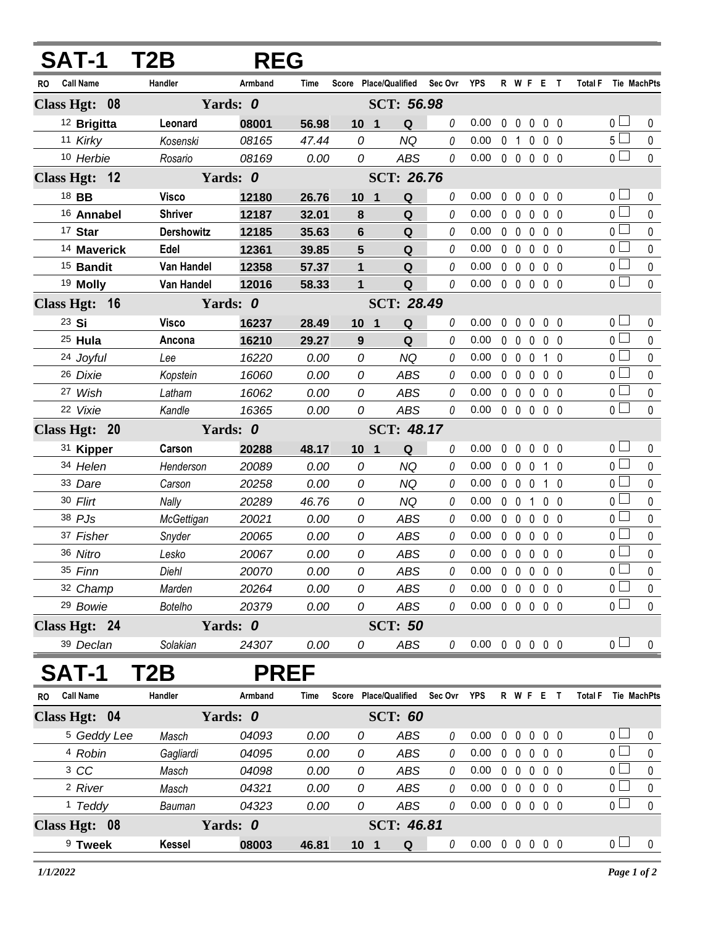| <b>SAT-1</b>                  | T2B               |             | <b>REG</b> |                                            |                   |         |                            |              |                        |                   |                   |                     |                       |                    |
|-------------------------------|-------------------|-------------|------------|--------------------------------------------|-------------------|---------|----------------------------|--------------|------------------------|-------------------|-------------------|---------------------|-----------------------|--------------------|
| Call Name<br><b>RO</b>        | Handler           | Armband     | Time       | Score Place/Qualified                      |                   | Sec Ovr | YPS                        |              |                        | R W F E T         |                   | Total F Tie MachPts |                       |                    |
| Class Hgt: 08                 |                   | Yards: 0    |            |                                            | SCT: 56.98        |         |                            |              |                        |                   |                   |                     |                       |                    |
| <sup>12</sup> Brigitta        | Leonard           | 08001       | 56.98      | 10 <sub>1</sub>                            | Q                 | 0       | 0.00                       | $\mathbf{0}$ | $\mathbf{0}$           | $0\quad 0\quad 0$ |                   |                     | 0 <sub>1</sub>        | 0                  |
| 11 Kirky                      | Kosenski          | 08165       | 47.44      | 0                                          | <b>NQ</b>         | 0       | 0.00                       |              | 0 <sub>1</sub>         | $\mathbf 0$       | $0\quad 0$        |                     | $5\Box$               | 0                  |
| 10 Herbie                     | Rosario           | 08169       | 0.00       | 0                                          | ABS               | 0       | 0.00                       |              | $0\quad 0$             | $\mathbf 0$       | 0 <sub>0</sub>    |                     | 0 <sup>2</sup>        | $\pmb{0}$          |
| Class Hgt: 12                 |                   | Yards: 0    |            |                                            | <b>SCT: 26.76</b> |         |                            |              |                        |                   |                   |                     |                       |                    |
| 18 BB                         | <b>Visco</b>      | 12180       | 26.76      | 10 <sub>1</sub><br>$\mathbf{1}$            | $\mathbf Q$       | 0       | 0.00                       | $\mathbf 0$  | $\overline{0}$         | $\mathbf 0$       | $0\quad 0$        |                     | 0 <sub>0</sub>        | 0                  |
| 16 Annabel                    | <b>Shriver</b>    | 12187       | 32.01      | 8                                          | Q                 | 0       | 0.00                       | $\mathbf 0$  | $\mathbf 0$            | 0                 | 0 <sub>0</sub>    |                     | 0 <sub>l</sub>        | 0                  |
| 17 Star                       | <b>Dershowitz</b> | 12185       | 35.63      | 6                                          | Q                 | 0       | 0.00                       |              | $0\quad 0$             | $\mathbf 0$       | 0 <sub>0</sub>    |                     | 0 <sub>0</sub>        | 0                  |
| 14 Maverick                   | Edel              | 12361       | 39.85      | 5                                          | Q                 | 0       | 0.00                       |              | 0 <sub>0</sub>         | $\mathbf 0$       | 0 <sub>0</sub>    |                     | 0 l                   | 0                  |
| <sup>15</sup> Bandit          | Van Handel        | 12358       | 57.37      | 1                                          | Q                 | 0       | 0.00                       |              | $0\quad 0$             | $\mathbf 0$       | 0 <sub>0</sub>    |                     | $\overline{0}$        | 0                  |
| <sup>19</sup> Molly           | Van Handel        | 12016       | 58.33      | $\mathbf{1}$                               | $\mathbf Q$       | 0       | 0.00                       |              | $0\quad 0\quad 0$      |                   | 0 <sub>0</sub>    |                     | $\overline{0}$        | 0                  |
| Class Hgt: 16                 |                   | Yards: 0    |            |                                            |                   |         |                            |              |                        |                   |                   |                     |                       |                    |
| 23 Si                         | <b>Visco</b>      | 16237       | 28.49      | 10 <sub>1</sub>                            | Q                 | 0       | 0.00                       | $\mathbf 0$  | $\mathbf 0$            | $0\quad 0\quad 0$ |                   |                     | 0 <sub>0</sub>        | 0                  |
| <sup>25</sup> Hula            | Ancona            | 16210       | 29.27      | 9                                          | Q                 | 0       | 0.00                       |              | $0\quad 0$             | $\mathbf 0$       | $0\quad 0$        |                     | 0 <sup>1</sup>        | 0                  |
| 24 Joyful                     | Lee               | 16220       | 0.00       | 0                                          | <b>NQ</b>         | 0       | 0.00                       |              | $0\quad 0\quad 0$      |                   | $1\quad$ $\Omega$ |                     | 0 <sub>l</sub>        | 0                  |
| 26 Dixie                      | Kopstein          | 16060       | 0.00       | 0                                          | ABS               | 0       | 0.00                       |              | $0\quad 0$             | $\mathbf 0$       | 0 <sub>0</sub>    |                     | 0 l                   | 0                  |
| 27 Wish                       | Latham            | 16062       | 0.00       | 0                                          | ABS               | 0       | 0.00                       |              | $0\quad 0$             | $\mathbf 0$       | 0 <sub>0</sub>    |                     | 0 <sup>1</sup>        | 0                  |
| 22 Vixie                      | Kandle            | 16365       | 0.00       | 0                                          | ABS               | 0       | 0.00                       |              | $0\quad 0\quad 0\quad$ |                   | $0\quad 0$        |                     | 0 <sub>1</sub>        | 0                  |
| Class Hgt: 20                 |                   | Yards: 0    |            |                                            | SCT: 48.17        |         |                            |              |                        |                   |                   |                     |                       |                    |
| 31 Kipper                     | Carson            | 20288       | 48.17      | 10 <sub>1</sub><br>$\overline{\mathbf{1}}$ | $\mathbf Q$       | 0       | 0.00                       | 0            | $\mathbf 0$            | $0\quad 0\quad 0$ |                   |                     | 0 <sub>l</sub>        | 0                  |
| 34 Helen                      | Henderson         | 20089       | 0.00       | 0                                          | <b>NQ</b>         | 0       | 0.00                       |              | $0\quad 0$             | $\mathbf 0$       | $1\quad0$         |                     | $0-$                  | 0                  |
| 33 Dare                       | Carson            | 20258       | 0.00       | 0                                          | <b>NQ</b>         | 0       | 0.00                       |              | $0\quad 0\quad 0$      |                   | $1\quad$ $\Omega$ |                     | 0 <sub>1</sub>        | 0                  |
| 30 Flirt                      | Nally             | 20289       | 46.76      | 0                                          | <b>NQ</b>         | 0       | 0.00                       |              | 0 <sub>0</sub>         | $\mathbf{1}$      | 0 <sub>0</sub>    |                     | 0 l                   | 0                  |
| 38 PJs                        | McGettigan        | 20021       | 0.00       | 0                                          | <b>ABS</b>        | 0       | 0.00                       |              | $0\quad 0$             | $\mathbf 0$       | 0 <sub>0</sub>    |                     | 0 <sup>1</sup>        | 0                  |
| 37 Fisher                     | Snyder            | 20065       | 0.00       | 0                                          | ABS               | 0       | 0.00                       |              | $0\quad 0$             | $\mathbf 0$       | 0 <sub>0</sub>    |                     | 0 l                   | 0                  |
| 36 Nitro                      | Lesko             | 20067       | 0.00       | 0                                          | <b>ABS</b>        | 0       | 0.00                       |              | $0\quad 0\quad 0$      |                   | 0 <sub>0</sub>    |                     | 0 <sub>0</sub>        | 0                  |
| 35 Finn                       | Diehl             | 20070       | 0.00       | 0                                          | <b>ABS</b>        | 0       | 0.00                       |              |                        | 00000             |                   |                     | $\overline{0}$        | 0                  |
| 32 Champ                      | Marden            | 20264       | 0.00       | 0                                          | <b>ABS</b>        | 0       | 0.00                       |              |                        | 00000             |                   |                     | $\overline{0}$ $\Box$ | $\pmb{0}$          |
| <sup>29</sup> Bowie           | <b>Botelho</b>    | 20379       | 0.00       | 0                                          | ABS               | 0       | $0.00 \t0 \t0 \t0 \t0 \t0$ |              |                        |                   |                   |                     | 0 <sub>1</sub>        | $\mathbf 0$        |
| Class Hgt: 24                 |                   | Yards: 0    |            |                                            | <b>SCT: 50</b>    |         |                            |              |                        |                   |                   |                     |                       |                    |
| 39 Declan                     | Solakian          | 24307       | 0.00       | 0                                          | ABS               | 0       | $0.00 \t0 \t0 \t0 \t0 \t0$ |              |                        |                   |                   |                     | 0 <sub>1</sub>        | 0                  |
| SAT-1                         | <b>2B</b>         | <b>PREF</b> |            |                                            |                   |         |                            |              |                        |                   |                   |                     |                       |                    |
| <b>Call Name</b><br><b>RO</b> | Handler           | Armband     | Time       | Score Place/Qualified                      |                   | Sec Ovr | YPS                        |              |                        | R W F E T         |                   | <b>Total F</b>      |                       | <b>Tie MachPts</b> |
| Class Hgt: 04                 |                   | Yards: 0    |            |                                            | <b>SCT: 60</b>    |         |                            |              |                        |                   |                   |                     |                       |                    |
| <sup>5</sup> Geddy Lee        | Masch             | 04093       | 0.00       | 0                                          | ABS               | 0       | 0.00                       |              |                        | 0 0 0 0 0         |                   |                     | 0 <sub>l</sub>        | 0                  |
| 4 Robin                       | Gagliardi         | 04095       | 0.00       | 0                                          | ABS               | 0       | 0.00                       |              | $0\quad 0$             | $\mathbf 0$       | $0\quad 0$        |                     | 0 <sub>0</sub>        | 0                  |
| 3 CC                          | Masch             | 04098       | 0.00       | 0                                          | ABS               | 0       | 0.00                       |              |                        | 00000             |                   |                     | 0 <sub>l</sub>        | $\pmb{0}$          |
| <sup>2</sup> River            | Masch             | 04321       | 0.00       | 0                                          | ABS               | 0       | 0.00                       |              |                        | 00000             |                   |                     | $0-$                  | 0                  |
| $1$ Teddy                     | Bauman            | 04323       | 0.00       | 0                                          | ABS               | 0       | $0.00 \t0 \t0 \t0 \t0 \t0$ |              |                        |                   |                   |                     | $_0$ $\Box$           | $\pmb{0}$          |
| Class Hgt: 08                 |                   | Yards: 0    |            |                                            | SCT: 46.81        |         |                            |              |                        |                   |                   |                     |                       |                    |
| <sup>9</sup> Tweek            | <b>Kessel</b>     | 08003       | 46.81      | 10 <sub>1</sub>                            | Q                 | 0       | $0.00 \t0 \t0 \t0 \t0 \t0$ |              |                        |                   |                   |                     | 0 <sub>1</sub>        | $\mathbf 0$        |